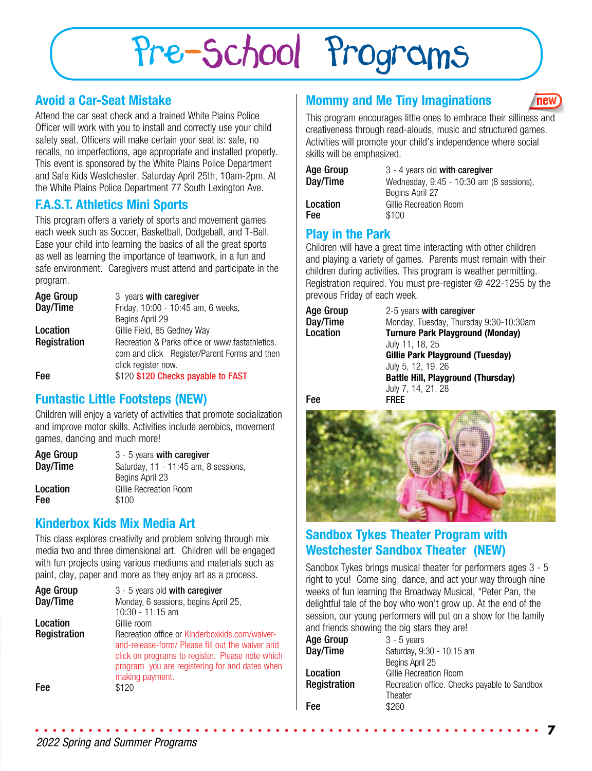# Pre-School Programs

### **Avoid a Car-Seat Mistake**

Attend the car seat check and a trained White Plains Police Officer will work with you to install and correctly use your child safety seat. Officers will make certain your seat is: safe, no recalls, no imperfections, age appropriate and installed properly. This event is sponsored by the White Plains Police Department and Safe Kids Westchester. Saturday April 25th, 10am-2pm. At the White Plains Police Department 77 South Lexington Ave.

# **F.A.S.T. Athletics Mini Sports**

This program offers a variety of sports and movement games each week such as Soccer, Basketball, Dodgeball, and T-Ball. Ease your child into learning the basics of all the great sports as well as learning the importance of teamwork, in a fun and safe environment. Caregivers must attend and participate in the program.

| <b>Age Group</b> | 3 years with caregiver                          |
|------------------|-------------------------------------------------|
| Day/Time         | Friday, 10:00 - 10:45 am, 6 weeks,              |
|                  | Begins April 29                                 |
| Location         | Gillie Field, 85 Gedney Way                     |
| Registration     | Recreation & Parks office or www.fastathletics. |
|                  | com and click Register/Parent Forms and then    |
|                  | click register now.                             |
| Fee              | \$120 \$120 Checks payable to FAST              |

#### **Funtastic Little Footsteps (NEW)**

Children will enjoy a variety of activities that promote socialization and improve motor skills. Activities include aerobics, movement games, dancing and much more!

| Age Group | $3 - 5$ years with caregiver         |
|-----------|--------------------------------------|
| Day/Time  | Saturday, 11 - 11:45 am, 8 sessions, |
|           | Begins April 23                      |
| Location  | Gillie Recreation Room               |
| Fee       | \$100                                |

#### **Kinderbox Kids Mix Media Art**

This class explores creativity and problem solving through mix media two and three dimensional art. Children will be engaged with fun projects using various mediums and materials such as paint, clay, paper and more as they enjoy art as a process.

| <b>Age Group</b> | 3 - 5 years old with caregiver                                                                                                                                                                                              |
|------------------|-----------------------------------------------------------------------------------------------------------------------------------------------------------------------------------------------------------------------------|
| Day/Time         | Monday, 6 sessions, begins April 25,                                                                                                                                                                                        |
|                  | $10:30 - 11:15$ am                                                                                                                                                                                                          |
| Location         | Gillie room                                                                                                                                                                                                                 |
| Registration     | Recreation office or Kinderboxkids.com/waiver-<br>and-release-form/ Please fill out the waiver and<br>click on programs to register. Please note which<br>program you are registering for and dates when<br>making payment. |
| Fee              | \$120                                                                                                                                                                                                                       |

### **Mommy and Me Tiny Imaginations**

This program encourages little ones to embrace their silliness and creativeness through read-alouds, music and structured games. Activities will promote your child's independence where social skills will be emphasized.

**new** 

| Age Group  | 3 - 4 years old with caregiver           |
|------------|------------------------------------------|
| Day/Time   | Wednesday, 9:45 - 10:30 am (8 sessions), |
|            | Begins April 27                          |
| Location   | Gillie Recreation Room                   |
| <b>Fee</b> | \$100                                    |

#### **Play in the Park**

Children will have a great time interacting with other children and playing a variety of games. Parents must remain with their children during activities. This program is weather permitting. Registration required. You must pre-register @ 422-1255 by the previous Friday of each week.

| Age Group | 2-5 years with caregiver                  |
|-----------|-------------------------------------------|
| Day/Time  | Monday, Tuesday, Thursday 9:30-10:30am    |
| Location  | <b>Turnure Park Playground (Monday)</b>   |
|           | July 11, 18, 25                           |
|           | <b>Gillie Park Playground (Tuesday)</b>   |
|           | July 5, 12, 19, 26                        |
|           | <b>Battle Hill, Playground (Thursday)</b> |

July 7, 14, 21, 28

Fee FREE



### **Sandbox Tykes Theater Program with Westchester Sandbox Theater (NEW)**

Sandbox Tykes brings musical theater for performers ages 3 - 5 right to you! Come sing, dance, and act your way through nine weeks of fun learning the Broadway Musical, "Peter Pan, the delightful tale of the boy who won't grow up. At the end of the session, our young performers will put on a show for the family and friends showing the big stars they are!

| $3 - 5$ years                                |
|----------------------------------------------|
| Saturday, 9:30 - 10:15 am                    |
| Begins April 25                              |
| Gillie Recreation Room                       |
| Recreation office. Checks payable to Sandbox |
| Theater                                      |
| \$260                                        |
|                                              |

**7**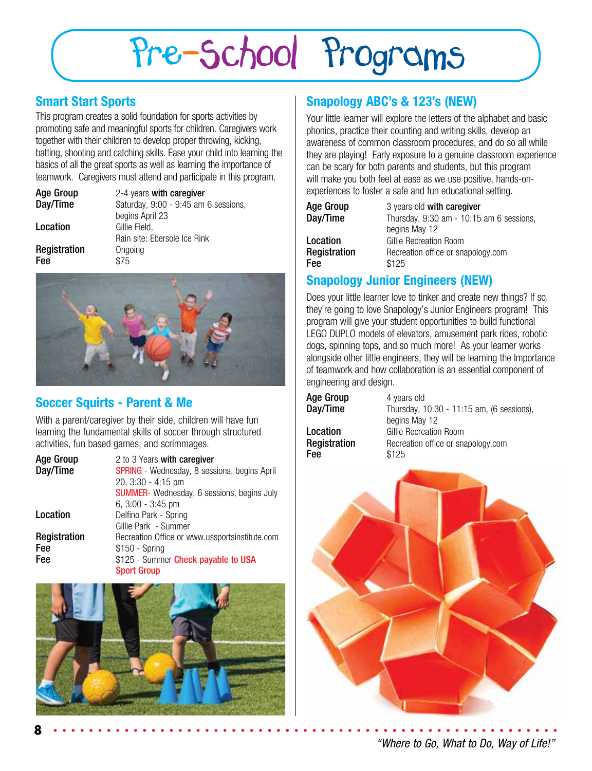# Pre-School Programs

### **Smart Start Sports**

This program creates a solid foundation for sports activities by promoting safe and meaningful sports for children. Caregivers work together with their children to develop proper throwing, kicking, batting, shooting and catching skills. Ease your child into learning the basics of all the great sports as well as learning the importance of teamwork. Caregivers must attend and participate in this program.

| <b>Age Group</b><br>Day/Time | 2-4 years with caregiver<br>Saturday, 9:00 - 9:45 am 6 sessions, |
|------------------------------|------------------------------------------------------------------|
|                              | begins April 23                                                  |
| Location                     | Gillie Field,                                                    |
|                              | Rain site: Ebersole Ice Rink                                     |
| Registration                 | Ongoing                                                          |
| Fee                          | \$75                                                             |



### **Soccer Squirts - Parent & Me**

With a parent/caregiver by their side, children will have fun learning the fundamental skills of soccer through structured activities, fun based games, and scrimmages.

| <b>Age Group</b><br>Day/Time | 2 to 3 Years with caregiver<br><b>SPRING</b> - Wednesday, 8 sessions, begins April<br>20, 3:30 - 4:15 pm |
|------------------------------|----------------------------------------------------------------------------------------------------------|
|                              | SUMMER- Wednesday, 6 sessions, begins July                                                               |
|                              | $6, 3:00 - 3:45$ pm                                                                                      |
| Location                     | Delfino Park - Spring                                                                                    |
|                              | Gillie Park - Summer                                                                                     |
| Registration                 | Recreation Office or www.ussportsinstitute.com                                                           |
| Fee                          | $$150 - Spring$                                                                                          |
| Fee                          | \$125 - Summer Check payable to USA                                                                      |
|                              | <b>Sport Group</b>                                                                                       |



# **Snapology ABC's & 123's (NEW)**

Your little learner will explore the letters of the alphabet and basic phonics, practice their counting and writing skills, develop an awareness of common classroom procedures, and do so all while they are playing! Early exposure to a genuine classroom experience can be scary for both parents and students, but this program will make you both feel at ease as we use positive, hands-onexperiences to foster a safe and fun educational setting.

| Age Group    | 3 years old with caregiver               |
|--------------|------------------------------------------|
| Day/Time     | Thursday, 9:30 am - 10:15 am 6 sessions, |
|              | begins May 12                            |
| Location     | Gillie Recreation Room                   |
| Registration | Recreation office or snapology.com       |
| Fee          | \$125                                    |

# **Snapology Junior Engineers (NEW)**

Does your little learner love to tinker and create new things? If so, they're going to love Snapology's Junior Engineers program! This program will give your student opportunities to build functional LEGO DUPLO models of elevators, amusement park rides, robotic dogs, spinning tops, and so much more! As your learner works alongside other little engineers, they will be learning the Importance of teamwork and how collaboration is an essential component of engineering and design.

| Age Group           | 4 years old                               |
|---------------------|-------------------------------------------|
| Day/Time            | Thursday, 10:30 - 11:15 am, (6 sessions), |
|                     | begins May 12                             |
| Location            | Gillie Recreation Room                    |
| <b>Registration</b> | Recreation office or snapology.com        |
| Fee                 | \$125                                     |



*"Where to Go, What to Do, Way of Life!"*

**8**